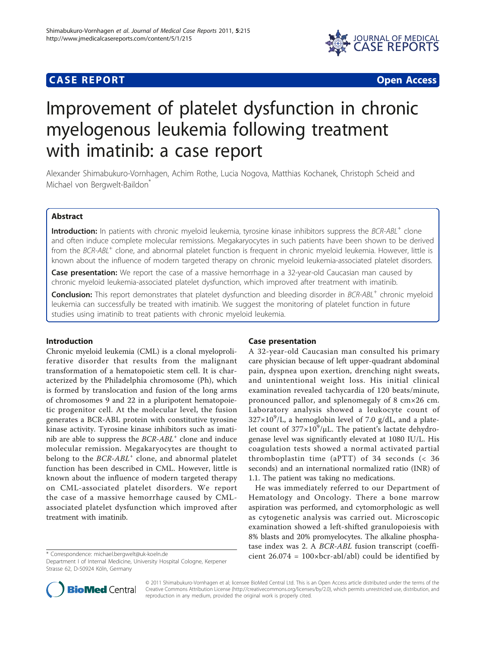# **CASE REPORT CASE REPORT CASE REPORT**



# Improvement of platelet dysfunction in chronic myelogenous leukemia following treatment with imatinib: a case report

Alexander Shimabukuro-Vornhagen, Achim Rothe, Lucia Nogova, Matthias Kochanek, Christoph Scheid and Michael von Bergwelt-Baildon<sup>®</sup>

# Abstract

Introduction: In patients with chronic myeloid leukemia, tyrosine kinase inhibitors suppress the BCR-ABL<sup>+</sup> clone and often induce complete molecular remissions. Megakaryocytes in such patients have been shown to be derived from the BCR-ABL<sup>+</sup> clone, and abnormal platelet function is frequent in chronic myeloid leukemia. However, little is known about the influence of modern targeted therapy on chronic myeloid leukemia-associated platelet disorders.

Case presentation: We report the case of a massive hemorrhage in a 32-year-old Caucasian man caused by chronic myeloid leukemia-associated platelet dysfunction, which improved after treatment with imatinib.

Conclusion: This report demonstrates that platelet dysfunction and bleeding disorder in BCR-ABL<sup>+</sup> chronic myeloid leukemia can successfully be treated with imatinib. We suggest the monitoring of platelet function in future studies using imatinib to treat patients with chronic myeloid leukemia.

#### Introduction

Chronic myeloid leukemia (CML) is a clonal myeloproliferative disorder that results from the malignant transformation of a hematopoietic stem cell. It is characterized by the Philadelphia chromosome (Ph), which is formed by translocation and fusion of the long arms of chromosomes 9 and 22 in a pluripotent hematopoietic progenitor cell. At the molecular level, the fusion generates a BCR-ABL protein with constitutive tyrosine kinase activity. Tyrosine kinase inhibitors such as imatinib are able to suppress the  $BCR-ABL<sup>+</sup>$  clone and induce molecular remission. Megakaryocytes are thought to belong to the  $BCR-ABL<sup>+</sup>$  clone, and abnormal platelet function has been described in CML. However, little is known about the influence of modern targeted therapy on CML-associated platelet disorders. We report the case of a massive hemorrhage caused by CMLassociated platelet dysfunction which improved after treatment with imatinib.

## Case presentation

A 32-year-old Caucasian man consulted his primary care physician because of left upper-quadrant abdominal pain, dyspnea upon exertion, drenching night sweats, and unintentional weight loss. His initial clinical examination revealed tachycardia of 120 beats/minute, pronounced pallor, and splenomegaly of 8 cm×26 cm. Laboratory analysis showed a leukocyte count of  $327 \times 10^9$ /L, a hemoglobin level of 7.0 g/dL, and a platelet count of  $377 \times 10^9/\mu$ L. The patient's lactate dehydrogenase level was significantly elevated at 1080 IU/L. His coagulation tests showed a normal activated partial thromboplastin time (aPTT) of 34 seconds (< 36 seconds) and an international normalized ratio (INR) of 1.1. The patient was taking no medications.

He was immediately referred to our Department of Hematology and Oncology. There a bone marrow aspiration was performed, and cytomorphologic as well as cytogenetic analysis was carried out. Microscopic examination showed a left-shifted granulopoiesis with 8% blasts and 20% promyelocytes. The alkaline phosphatase index was 2. A BCR-ABL fusion transcript (coeffi\* Correspondence: [michael.bergwelt@uk-koeln.de](mailto:michael.bergwelt@uk-koeln.de) cient 26.074 = 100xbcr-abl/abl) could be identified by



© 2011 Shimabukuro-Vornhagen et al; licensee BioMed Central Ltd. This is an Open Access article distributed under the terms of the Creative Commons Attribution License (<http://creativecommons.org/licenses/by/2.0>), which permits unrestricted use, distribution, and reproduction in any medium, provided the original work is properly cited.

Department I of Internal Medicine, University Hospital Cologne, Kerpener Strasse 62, D-50924 Köln, Germany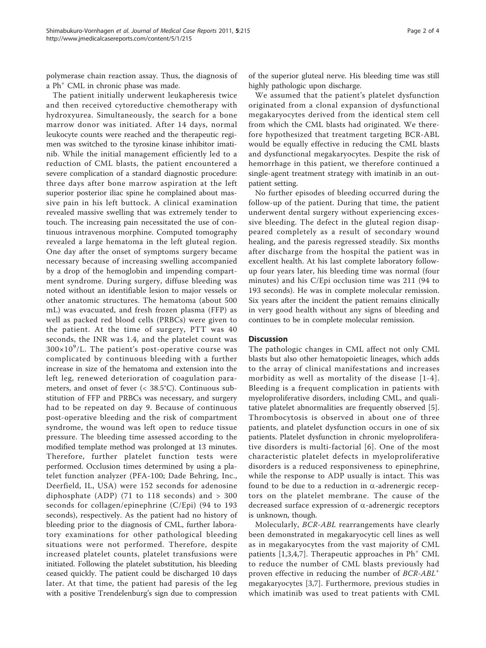polymerase chain reaction assay. Thus, the diagnosis of a Ph<sup>+</sup> CML in chronic phase was made.

The patient initially underwent leukapheresis twice and then received cytoreductive chemotherapy with hydroxyurea. Simultaneously, the search for a bone marrow donor was initiated. After 14 days, normal leukocyte counts were reached and the therapeutic regimen was switched to the tyrosine kinase inhibitor imatinib. While the initial management efficiently led to a reduction of CML blasts, the patient encountered a severe complication of a standard diagnostic procedure: three days after bone marrow aspiration at the left superior posterior iliac spine he complained about massive pain in his left buttock. A clinical examination revealed massive swelling that was extremely tender to touch. The increasing pain necessitated the use of continuous intravenous morphine. Computed tomography revealed a large hematoma in the left gluteal region. One day after the onset of symptoms surgery became necessary because of increasing swelling accompanied by a drop of the hemoglobin and impending compartment syndrome. During surgery, diffuse bleeding was noted without an identifiable lesion to major vessels or other anatomic structures. The hematoma (about 500 mL) was evacuated, and fresh frozen plasma (FFP) as well as packed red blood cells (PRBCs) were given to the patient. At the time of surgery, PTT was 40 seconds, the INR was 1.4, and the platelet count was  $300\times10^9$ /L. The patient's post-operative course was complicated by continuous bleeding with a further increase in size of the hematoma and extension into the left leg, renewed deterioration of coagulation parameters, and onset of fever (< 38.5°C). Continuous substitution of FFP and PRBCs was necessary, and surgery had to be repeated on day 9. Because of continuous post-operative bleeding and the risk of compartment syndrome, the wound was left open to reduce tissue pressure. The bleeding time assessed according to the modified template method was prolonged at 13 minutes. Therefore, further platelet function tests were performed. Occlusion times determined by using a platelet function analyzer (PFA-100; Dade Behring, Inc., Deerfield, IL, USA) were 152 seconds for adenosine diphosphate (ADP) (71 to 118 seconds) and > 300 seconds for collagen/epinephrine (C/Epi) (94 to 193 seconds), respectively. As the patient had no history of bleeding prior to the diagnosis of CML, further laboratory examinations for other pathological bleeding situations were not performed. Therefore, despite increased platelet counts, platelet transfusions were initiated. Following the platelet substitution, his bleeding ceased quickly. The patient could be discharged 10 days later. At that time, the patient had paresis of the leg with a positive Trendelenburg's sign due to compression

of the superior gluteal nerve. His bleeding time was still highly pathologic upon discharge.

We assumed that the patient's platelet dysfunction originated from a clonal expansion of dysfunctional megakaryocytes derived from the identical stem cell from which the CML blasts had originated. We therefore hypothesized that treatment targeting BCR-ABL would be equally effective in reducing the CML blasts and dysfunctional megakaryocytes. Despite the risk of hemorrhage in this patient, we therefore continued a single-agent treatment strategy with imatinib in an outpatient setting.

No further episodes of bleeding occurred during the follow-up of the patient. During that time, the patient underwent dental surgery without experiencing excessive bleeding. The defect in the gluteal region disappeared completely as a result of secondary wound healing, and the paresis regressed steadily. Six months after discharge from the hospital the patient was in excellent health. At his last complete laboratory followup four years later, his bleeding time was normal (four minutes) and his C/Epi occlusion time was 211 (94 to 193 seconds). He was in complete molecular remission. Six years after the incident the patient remains clinically in very good health without any signs of bleeding and continues to be in complete molecular remission.

#### **Discussion**

The pathologic changes in CML affect not only CML blasts but also other hematopoietic lineages, which adds to the array of clinical manifestations and increases morbidity as well as mortality of the disease [[1](#page-3-0)-[4\]](#page-3-0). Bleeding is a frequent complication in patients with myeloproliferative disorders, including CML, and qualitative platelet abnormalities are frequently observed [\[5](#page-3-0)]. Thrombocytosis is observed in about one of three patients, and platelet dysfunction occurs in one of six patients. Platelet dysfunction in chronic myeloproliferative disorders is multi-factorial [[6\]](#page-3-0). One of the most characteristic platelet defects in myeloproliferative disorders is a reduced responsiveness to epinephrine, while the response to ADP usually is intact. This was found to be due to a reduction in  $\alpha$ -adrenergic receptors on the platelet membrane. The cause of the decreased surface expression of  $\alpha$ -adrenergic receptors is unknown, though.

Molecularly, BCR-ABL rearrangements have clearly been demonstrated in megakaryocytic cell lines as well as in megakaryocytes from the vast majority of CML patients  $[1,3,4,7]$  $[1,3,4,7]$  $[1,3,4,7]$  $[1,3,4,7]$ . Therapeutic approaches in  $Ph<sup>+</sup>$  CML to reduce the number of CML blasts previously had proven effective in reducing the number of BCR-ABL<sup>+</sup> megakaryocytes [[3,7](#page-3-0)]. Furthermore, previous studies in which imatinib was used to treat patients with CML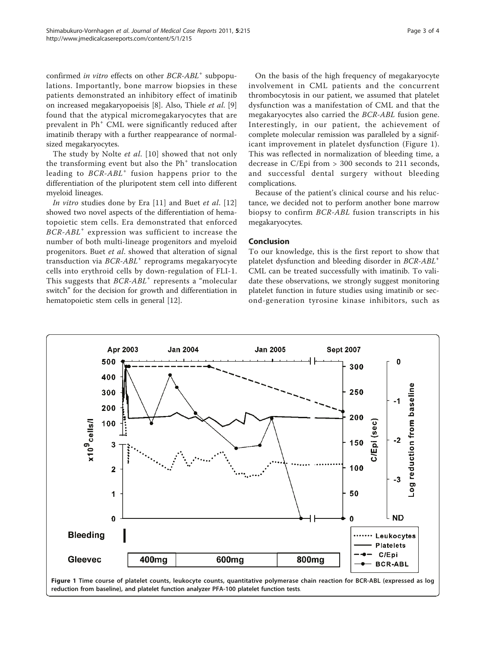confirmed in vitro effects on other BCR-ABL<sup>+</sup> subpopulations. Importantly, bone marrow biopsies in these patients demonstrated an inhibitory effect of imatinib on increased megakaryopoeisis [\[8](#page-3-0)]. Also, Thiele et al. [[9](#page-3-0)] found that the atypical micromegakaryocytes that are prevalent in Ph<sup>+</sup> CML were significantly reduced after imatinib therapy with a further reappearance of normalsized megakaryocytes.

The study by Nolte *et al.* [\[10\]](#page-3-0) showed that not only the transforming event but also the  $Ph<sup>+</sup>$  translocation leading to  $BCR-ABL<sup>+</sup>$  fusion happens prior to the differentiation of the pluripotent stem cell into different myeloid lineages.

In vitro studies done by Era  $[11]$  and Buet et al.  $[12]$  $[12]$ showed two novel aspects of the differentiation of hematopoietic stem cells. Era demonstrated that enforced  $BCR-ABL^+$  expression was sufficient to increase the number of both multi-lineage progenitors and myeloid progenitors. Buet et al. showed that alteration of signal transduction via  $BCR-ABL<sup>+</sup>$  reprograms megakaryocyte cells into erythroid cells by down-regulation of FLI-1. This suggests that  $BCR-ABL^+$  represents a "molecular" switch" for the decision for growth and differentiation in hematopoietic stem cells in general [\[12\]](#page-3-0).

On the basis of the high frequency of megakaryocyte involvement in CML patients and the concurrent thrombocytosis in our patient, we assumed that platelet dysfunction was a manifestation of CML and that the megakaryocytes also carried the BCR-ABL fusion gene. Interestingly, in our patient, the achievement of complete molecular remission was paralleled by a significant improvement in platelet dysfunction (Figure 1). This was reflected in normalization of bleeding time, a decrease in C/Epi from > 300 seconds to 211 seconds, and successful dental surgery without bleeding complications.

Because of the patient's clinical course and his reluctance, we decided not to perform another bone marrow biopsy to confirm BCR-ABL fusion transcripts in his megakaryocytes.

#### Conclusion

To our knowledge, this is the first report to show that platelet dysfunction and bleeding disorder in BCR-ABL<sup>+</sup> CML can be treated successfully with imatinib. To validate these observations, we strongly suggest monitoring platelet function in future studies using imatinib or second-generation tyrosine kinase inhibitors, such as